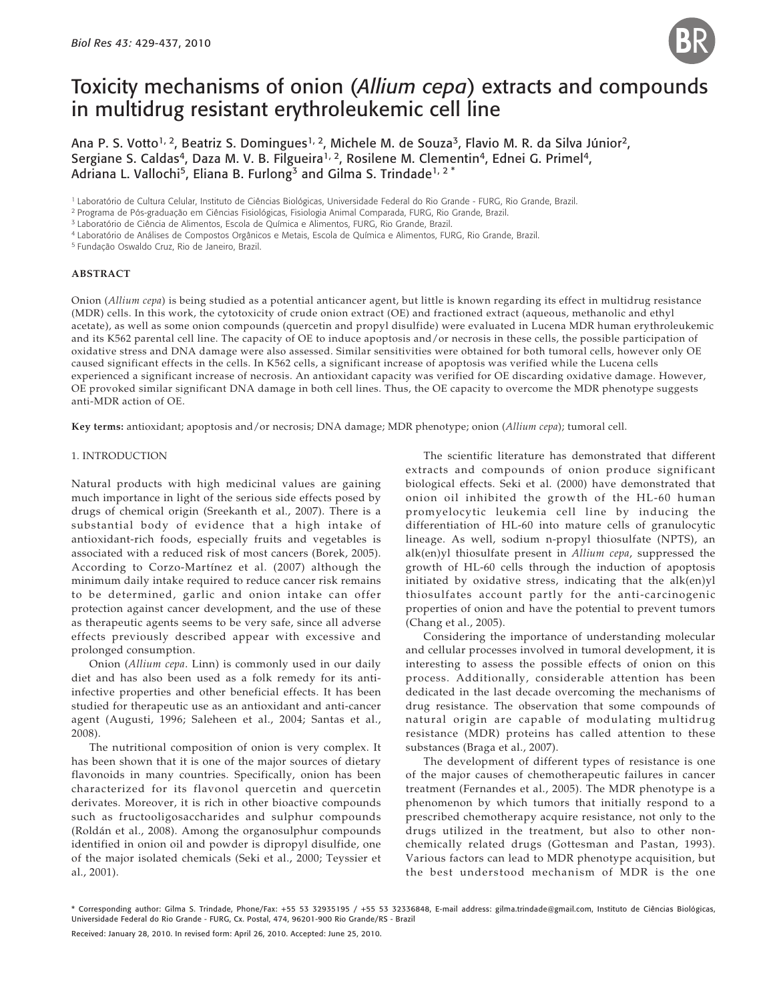# Toxicity mechanisms of onion (*Allium cepa*) extracts and compounds in multidrug resistant erythroleukemic cell line

Ana P. S. Votto<sup>1, 2</sup>, Beatriz S. Domingues<sup>1, 2</sup>, Michele M. de Souza<sup>3</sup>, Flavio M. R. da Silva Júnior<sup>2</sup>, Sergiane S. Caldas<sup>4</sup>, Daza M. V. B. Filgueira<sup>1, 2</sup>, Rosilene M. Clementin<sup>4</sup>, Ednei G. Primel<sup>4</sup>, Adriana L. Vallochi<sup>5</sup>, Eliana B. Furlong<sup>3</sup> and Gilma S. Trindade<sup>1, 2\*</sup>

<sup>1</sup> Laboratório de Cultura Celular, Instituto de Ciências Biológicas, Universidade Federal do Rio Grande - FURG, Rio Grande, Brazil.

<sup>3</sup> Laboratório de Ciência de Alimentos, Escola de Química e Alimentos, FURG, Rio Grande, Brazil.

4 Laboratório de Análises de Compostos Orgânicos e Metais, Escola de Química e Alimentos, FURG, Rio Grande, Brazil.

5 Fundação Oswaldo Cruz, Rio de Janeiro, Brazil.

#### **ABSTRACT**

Onion (*Allium cepa*) is being studied as a potential anticancer agent, but little is known regarding its effect in multidrug resistance (MDR) cells. In this work, the cytotoxicity of crude onion extract (OE) and fractioned extract (aqueous, methanolic and ethyl acetate), as well as some onion compounds (quercetin and propyl disulfide) were evaluated in Lucena MDR human erythroleukemic and its K562 parental cell line. The capacity of OE to induce apoptosis and/or necrosis in these cells, the possible participation of oxidative stress and DNA damage were also assessed. Similar sensitivities were obtained for both tumoral cells, however only OE caused significant effects in the cells. In K562 cells, a significant increase of apoptosis was verified while the Lucena cells experienced a significant increase of necrosis. An antioxidant capacity was verified for OE discarding oxidative damage. However, OE provoked similar significant DNA damage in both cell lines. Thus, the OE capacity to overcome the MDR phenotype suggests anti-MDR action of OE.

**Key terms:** antioxidant; apoptosis and/or necrosis; DNA damage; MDR phenotype; onion (*Allium cepa*); tumoral cell.

#### 1. INTRODUCTION

Natural products with high medicinal values are gaining much importance in light of the serious side effects posed by drugs of chemical origin (Sreekanth et al., 2007). There is a substantial body of evidence that a high intake of antioxidant-rich foods, especially fruits and vegetables is associated with a reduced risk of most cancers (Borek, 2005). According to Corzo-Martínez et al. (2007) although the minimum daily intake required to reduce cancer risk remains to be determined, garlic and onion intake can offer protection against cancer development, and the use of these as therapeutic agents seems to be very safe, since all adverse effects previously described appear with excessive and prolonged consumption.

Onion (*Allium cepa*. Linn) is commonly used in our daily diet and has also been used as a folk remedy for its antiinfective properties and other beneficial effects. It has been studied for therapeutic use as an antioxidant and anti-cancer agent (Augusti, 1996; Saleheen et al., 2004; Santas et al., 2008).

The nutritional composition of onion is very complex. It has been shown that it is one of the major sources of dietary flavonoids in many countries. Specifically, onion has been characterized for its flavonol quercetin and quercetin derivates. Moreover, it is rich in other bioactive compounds such as fructooligosaccharides and sulphur compounds (Roldán et al., 2008). Among the organosulphur compounds identified in onion oil and powder is dipropyl disulfide, one of the major isolated chemicals (Seki et al., 2000; Teyssier et al., 2001).

The scientific literature has demonstrated that different extracts and compounds of onion produce significant biological effects. Seki et al. (2000) have demonstrated that onion oil inhibited the growth of the HL-60 human promyelocytic leukemia cell line by inducing the differentiation of HL-60 into mature cells of granulocytic lineage. As well, sodium n-propyl thiosulfate (NPTS), an alk(en)yl thiosulfate present in *Allium cepa*, suppressed the growth of HL-60 cells through the induction of apoptosis initiated by oxidative stress, indicating that the alk(en)yl thiosulfates account partly for the anti-carcinogenic properties of onion and have the potential to prevent tumors (Chang et al., 2005).

Considering the importance of understanding molecular and cellular processes involved in tumoral development, it is interesting to assess the possible effects of onion on this process. Additionally, considerable attention has been dedicated in the last decade overcoming the mechanisms of drug resistance. The observation that some compounds of natural origin are capable of modulating multidrug resistance (MDR) proteins has called attention to these substances (Braga et al., 2007).

The development of different types of resistance is one of the major causes of chemotherapeutic failures in cancer treatment (Fernandes et al., 2005). The MDR phenotype is a phenomenon by which tumors that initially respond to a prescribed chemotherapy acquire resistance, not only to the drugs utilized in the treatment, but also to other nonchemically related drugs (Gottesman and Pastan, 1993). Various factors can lead to MDR phenotype acquisition, but the best understood mechanism of MDR is the one

\* Corresponding author: Gilma S. Trindade, Phone/Fax: +55 53 32935195 / +55 53 32336848, E-mail address: gilma.trindade@gmail.com, Instituto de Ciências Biológicas, Universidade Federal do Rio Grande - FURG, Cx. Postal, 474, 96201-900 Rio Grande/RS - Brazil

Received: January 28, 2010. In revised form: April 26, 2010. Accepted: June 25, 2010.

<sup>2</sup> Programa de Pós-graduação em Ciências Fisiológicas, Fisiologia Animal Comparada, FURG, Rio Grande, Brazil.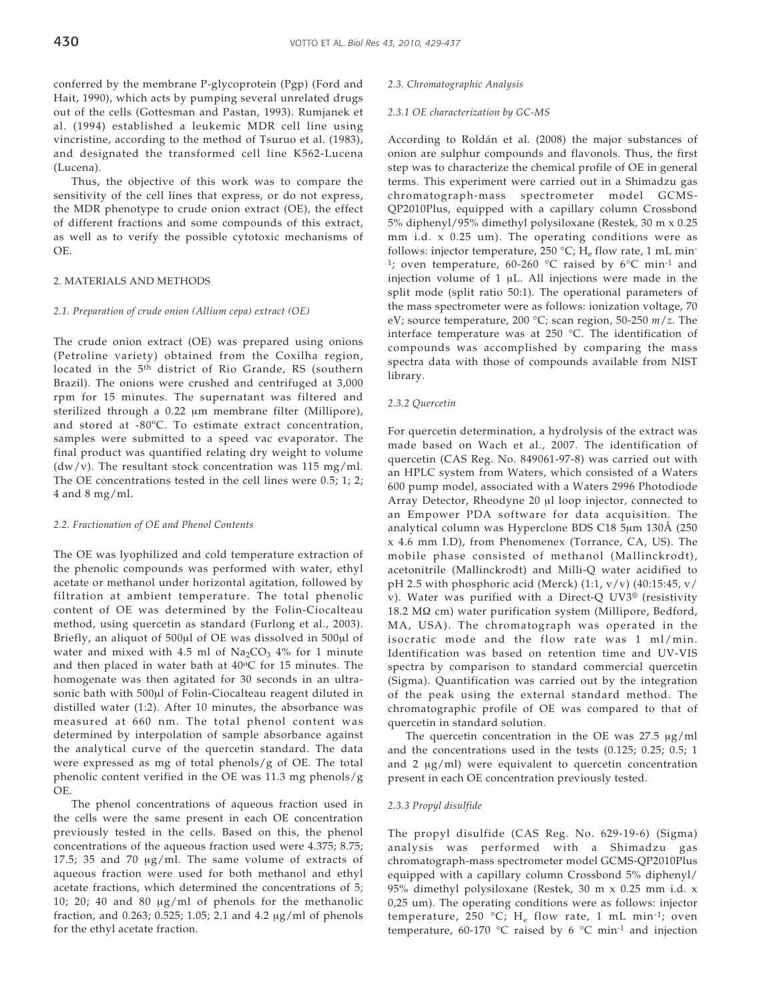conferred by the membrane P-glycoprotein (Pgp) (Ford and Hait, 1990), which acts by pumping several unrelated drugs out of the cells (Gottesman and Pastan, 1993). Rumjanek et al. (1994) established a leukemic MDR cell line using vincristine, according to the method of Tsuruo et al. (1983), and designated the transformed cell line K562-Lucena (Lucena).

Thus, the objective of this work was to compare the sensitivity of the cell lines that express, or do not express, the MDR phenotype to crude onion extract (OE), the effect of different fractions and some compounds of this extract, as well as to verify the possible cytotoxic mechanisms of OE.

## 2. MATERIALS AND METHODS

## *2.1. Preparation of crude onion (Allium cepa) extract (OE)*

The crude onion extract (OE) was prepared using onions (Petroline variety) obtained from the Coxilha region, located in the 5<sup>th</sup> district of Rio Grande, RS (southern Brazil). The onions were crushed and centrifuged at 3,000 rpm for 15 minutes. The supernatant was filtered and sterilized through a 0.22 μm membrane filter (Millipore), and stored at -80ºC. To estimate extract concentration, samples were submitted to a speed vac evaporator. The final product was quantified relating dry weight to volume  $(dw/v)$ . The resultant stock concentration was 115 mg/ml. The OE concentrations tested in the cell lines were 0.5; 1; 2; 4 and 8 mg/ml.

### *2.2. Fractionation of OE and Phenol Contents*

The OE was lyophilized and cold temperature extraction of the phenolic compounds was performed with water, ethyl acetate or methanol under horizontal agitation, followed by filtration at ambient temperature. The total phenolic content of OE was determined by the Folin-Ciocalteau method, using quercetin as standard (Furlong et al., 2003). Briefly, an aliquot of 500μl of OE was dissolved in 500μl of water and mixed with 4.5 ml of  $Na<sub>2</sub>CO<sub>3</sub> 4%$  for 1 minute and then placed in water bath at  $40^{\circ}$ C for 15 minutes. The homogenate was then agitated for 30 seconds in an ultrasonic bath with 500μl of Folin-Ciocalteau reagent diluted in distilled water (1:2). After 10 minutes, the absorbance was measured at 660 nm. The total phenol content was determined by interpolation of sample absorbance against the analytical curve of the quercetin standard. The data were expressed as mg of total phenols/g of OE. The total phenolic content verified in the OE was 11.3 mg phenols/g OE.

The phenol concentrations of aqueous fraction used in the cells were the same present in each OE concentration previously tested in the cells. Based on this, the phenol concentrations of the aqueous fraction used were 4.375; 8.75; 17.5; 35 and 70 μg/ml. The same volume of extracts of aqueous fraction were used for both methanol and ethyl acetate fractions, which determined the concentrations of 5; 10; 20; 40 and 80 μg/ml of phenols for the methanolic fraction, and 0.263; 0.525; 1.05; 2.1 and 4.2 μg/ml of phenols for the ethyl acetate fraction.

## *2.3. Chromatographic Analysis*

## *2.3.1 OE characterization by GC-MS*

According to Roldán et al. (2008) the major substances of onion are sulphur compounds and flavonols. Thus, the first step was to characterize the chemical profile of OE in general terms. This experiment were carried out in a Shimadzu gas chromatograph-mass spectrometer model GCMS-QP2010Plus, equipped with a capillary column Crossbond 5% diphenyl/95% dimethyl polysiloxane (Restek, 30 m x 0.25 mm i.d. x 0.25 um). The operating conditions were as follows: injector temperature,  $250 °C$ ;  $H_a$  flow rate, 1 mL min-<sup>1</sup>; oven temperature, 60-260 °C raised by 6°C min<sup>-1</sup> and injection volume of 1 μL. All injections were made in the split mode (split ratio 50:1). The operational parameters of the mass spectrometer were as follows: ionization voltage, 70 eV; source temperature, 200 °C; scan region, 50-250 *m*/*z*. The interface temperature was at 250 °C. The identification of compounds was accomplished by comparing the mass spectra data with those of compounds available from NIST library.

### *2.3.2 Quercetin*

For quercetin determination, a hydrolysis of the extract was made based on Wach et al., 2007. The identification of quercetin (CAS Reg. No. 849061-97-8) was carried out with an HPLC system from Waters, which consisted of a Waters 600 pump model, associated with a Waters 2996 Photodiode Array Detector, Rheodyne 20 μl loop injector, connected to an Empower PDA software for data acquisition. The analytical column was Hyperclone BDS C18 5μm 130Å (250 x 4.6 mm I.D), from Phenomenex (Torrance, CA, US). The mobile phase consisted of methanol (Mallinckrodt), acetonitrile (Mallinckrodt) and Milli-Q water acidified to pH 2.5 with phosphoric acid (Merck) (1:1,  $v/v$ ) (40:15:45,  $v/$ v). Water was purified with a Direct-Q UV3® (resistivity 18.2 MΩ cm) water purification system (Millipore, Bedford, MA, USA). The chromatograph was operated in the isocratic mode and the flow rate was 1 ml/min. Identification was based on retention time and UV-VIS spectra by comparison to standard commercial quercetin (Sigma). Quantification was carried out by the integration of the peak using the external standard method. The chromatographic profile of OE was compared to that of quercetin in standard solution.

The quercetin concentration in the OE was 27.5 μg/ml and the concentrations used in the tests (0.125; 0.25; 0.5; 1 and 2 μg/ml) were equivalent to quercetin concentration present in each OE concentration previously tested.

#### *2.3.3 Propyl disulfide*

The propyl disulfide (CAS Reg. No. 629-19-6) (Sigma) analysis was performed with a Shimadzu gas chromatograph-mass spectrometer model GCMS-QP2010Plus equipped with a capillary column Crossbond 5% diphenyl/ 95% dimethyl polysiloxane (Restek, 30 m x 0.25 mm i.d. x 0,25 um). The operating conditions were as follows: injector temperature, 250 °C;  $H_e$  flow rate, 1 mL min<sup>-1</sup>; oven temperature, 60-170 °C raised by 6 °C min<sup>-1</sup> and injection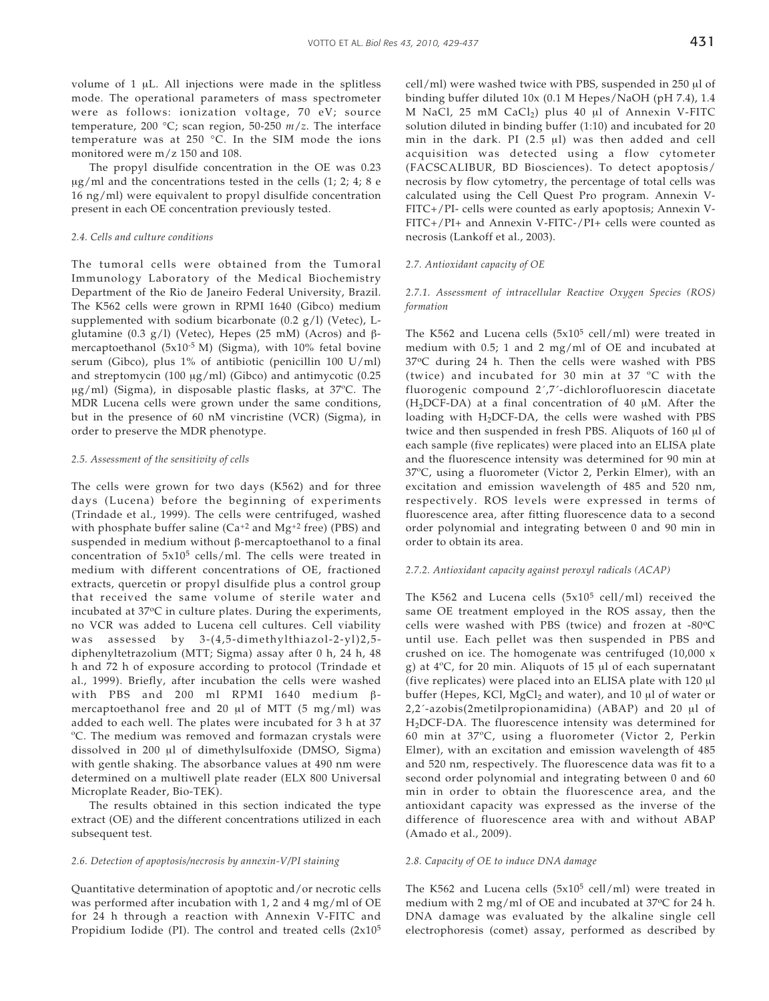volume of 1 μL. All injections were made in the splitless mode. The operational parameters of mass spectrometer were as follows: ionization voltage, 70 eV; source temperature, 200 °C; scan region, 50-250 *m*/*z*. The interface temperature was at 250 °C. In the SIM mode the ions monitored were m/z 150 and 108.

The propyl disulfide concentration in the OE was 0.23  $\mu$ g/ml and the concentrations tested in the cells (1; 2; 4; 8 e 16 ng/ml) were equivalent to propyl disulfide concentration present in each OE concentration previously tested.

## *2.4. Cells and culture conditions*

The tumoral cells were obtained from the Tumoral Immunology Laboratory of the Medical Biochemistry Department of the Rio de Janeiro Federal University, Brazil. The K562 cells were grown in RPMI 1640 (Gibco) medium supplemented with sodium bicarbonate  $(0.2 g/l)$  (Vetec), Lglutamine (0.3 g/l) (Vetec), Hepes (25 mM) (Acros) and βmercaptoethanol (5x10<sup>-5</sup> M) (Sigma), with 10% fetal bovine serum (Gibco), plus 1% of antibiotic (penicillin 100 U/ml) and streptomycin (100 μg/ml) (Gibco) and antimycotic (0.25 μg/ml) (Sigma), in disposable plastic flasks, at 37ºC. The MDR Lucena cells were grown under the same conditions, but in the presence of 60 nM vincristine (VCR) (Sigma), in order to preserve the MDR phenotype.

## *2.5. Assessment of the sensitivity of cells*

The cells were grown for two days (K562) and for three days (Lucena) before the beginning of experiments (Trindade et al., 1999). The cells were centrifuged, washed with phosphate buffer saline ( $Ca^{+2}$  and  $Mg^{+2}$  free) (PBS) and suspended in medium without β-mercaptoethanol to a final concentration of 5x105 cells/ml. The cells were treated in medium with different concentrations of OE, fractioned extracts, quercetin or propyl disulfide plus a control group that received the same volume of sterile water and incubated at 37°C in culture plates. During the experiments, no VCR was added to Lucena cell cultures. Cell viability was assessed by 3-(4,5-dimethylthiazol-2-yl)2,5 diphenyltetrazolium (MTT; Sigma) assay after 0 h, 24 h, 48 h and 72 h of exposure according to protocol (Trindade et al., 1999). Briefly, after incubation the cells were washed with PBS and 200 ml RPMI 1640 medium βmercaptoethanol free and 20 μl of MTT (5 mg/ml) was added to each well. The plates were incubated for 3 h at 37 ºC. The medium was removed and formazan crystals were dissolved in 200 μl of dimethylsulfoxide (DMSO, Sigma) with gentle shaking. The absorbance values at 490 nm were determined on a multiwell plate reader (ELX 800 Universal Microplate Reader, Bio-TEK).

The results obtained in this section indicated the type extract (OE) and the different concentrations utilized in each subsequent test.

## *2.6. Detection of apoptosis/necrosis by annexin-V/PI staining*

Quantitative determination of apoptotic and/or necrotic cells was performed after incubation with 1, 2 and 4 mg/ml of OE for 24 h through a reaction with Annexin V-FITC and Propidium Iodide (PI). The control and treated cells  $(2x10<sup>5</sup>)$  cell/ml) were washed twice with PBS, suspended in 250 μl of binding buffer diluted 10x (0.1 M Hepes/NaOH (pH 7.4), 1.4 M NaCl, 25 mM CaCl2) plus 40 μl of Annexin V-FITC solution diluted in binding buffer (1:10) and incubated for 20 min in the dark. PI (2.5 μl) was then added and cell acquisition was detected using a flow cytometer (FACSCALIBUR, BD Biosciences). To detect apoptosis/ necrosis by flow cytometry, the percentage of total cells was calculated using the Cell Quest Pro program. Annexin V-FITC+/PI- cells were counted as early apoptosis; Annexin V-FITC+/PI+ and Annexin V-FITC-/PI+ cells were counted as necrosis (Lankoff et al., 2003).

## *2.7. Antioxidant capacity of OE*

## *2.7.1. Assessment of intracellular Reactive Oxygen Species (ROS) formation*

The K562 and Lucena cells  $(5x10^5 \text{ cell/ml})$  were treated in medium with 0.5; 1 and 2 mg/ml of OE and incubated at 37°C during 24 h. Then the cells were washed with PBS (twice) and incubated for 30 min at 37 ºC with the fluorogenic compound 2´,7´-dichlorofluorescin diacetate  $(H<sub>2</sub>DCF-DA)$  at a final concentration of 40 μM. After the loading with  $H_2$ DCF-DA, the cells were washed with PBS twice and then suspended in fresh PBS. Aliquots of 160 μl of each sample (five replicates) were placed into an ELISA plate and the fluorescence intensity was determined for 90 min at 37ºC, using a fluorometer (Victor 2, Perkin Elmer), with an excitation and emission wavelength of 485 and 520 nm, respectively. ROS levels were expressed in terms of fluorescence area, after fitting fluorescence data to a second order polynomial and integrating between 0 and 90 min in order to obtain its area.

## *2.7.2. Antioxidant capacity against peroxyl radicals (ACAP)*

The K562 and Lucena cells  $(5x10^5 \text{ cell/ml})$  received the same OE treatment employed in the ROS assay, then the cells were washed with PBS (twice) and frozen at -80°C until use. Each pellet was then suspended in PBS and crushed on ice. The homogenate was centrifuged (10,000 x g) at 4ºC, for 20 min. Aliquots of 15 μl of each supernatant (five replicates) were placed into an ELISA plate with 120 μl buffer (Hepes, KCl, MgCl<sub>2</sub> and water), and 10 μl of water or 2,2´-azobis(2metilpropionamidina) (ABAP) and 20 μl of H2DCF-DA. The fluorescence intensity was determined for 60 min at 37ºC, using a fluorometer (Victor 2, Perkin Elmer), with an excitation and emission wavelength of 485 and 520 nm, respectively. The fluorescence data was fit to a second order polynomial and integrating between 0 and 60 min in order to obtain the fluorescence area, and the antioxidant capacity was expressed as the inverse of the difference of fluorescence area with and without ABAP (Amado et al., 2009).

#### *2.8. Capacity of OE to induce DNA damage*

The K562 and Lucena cells  $(5x10^5 \text{ cell/ml})$  were treated in medium with 2 mg/ml of OE and incubated at 37°C for 24 h. DNA damage was evaluated by the alkaline single cell electrophoresis (comet) assay, performed as described by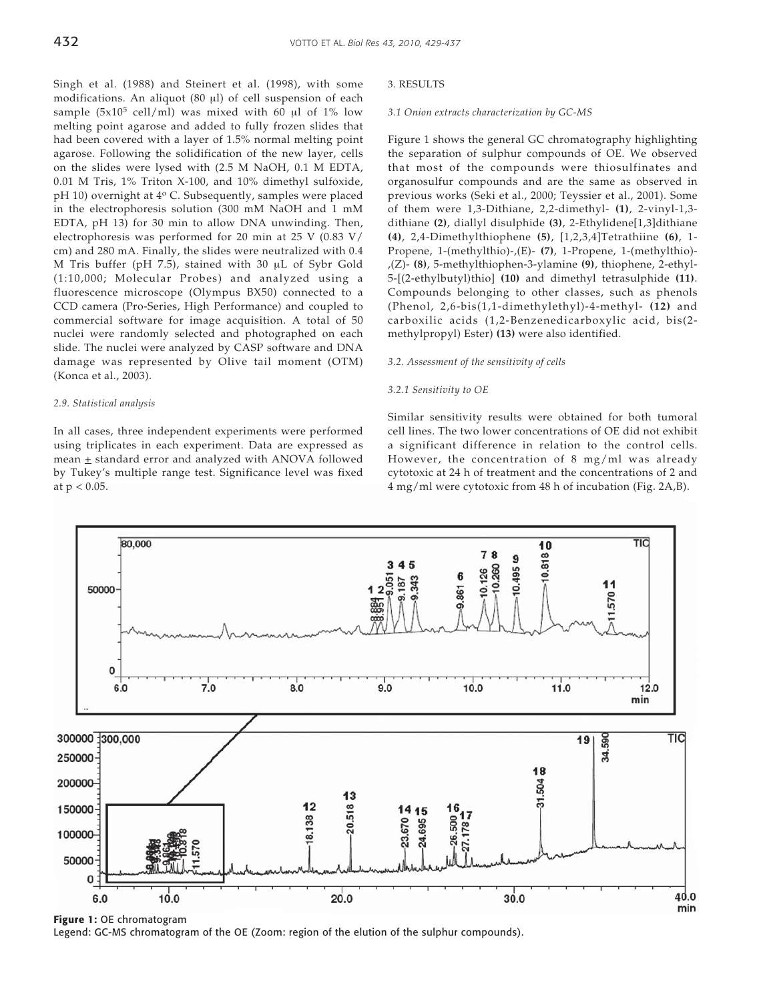Singh et al. (1988) and Steinert et al. (1998), with some modifications. An aliquot (80 μl) of cell suspension of each sample  $(5x10^5 \text{ cell/ml})$  was mixed with 60 μl of 1% low melting point agarose and added to fully frozen slides that had been covered with a layer of 1.5% normal melting point agarose. Following the solidification of the new layer, cells on the slides were lysed with (2.5 M NaOH, 0.1 M EDTA, 0.01 M Tris, 1% Triton X-100, and 10% dimethyl sulfoxide, pH 10) overnight at 4° C. Subsequently, samples were placed in the electrophoresis solution (300 mM NaOH and 1 mM EDTA, pH 13) for 30 min to allow DNA unwinding. Then, electrophoresis was performed for 20 min at 25 V (0.83 V/ cm) and 280 mA. Finally, the slides were neutralized with 0.4 M Tris buffer (pH 7.5), stained with 30 μL of Sybr Gold (1:10,000; Molecular Probes) and analyzed using a fluorescence microscope (Olympus BX50) connected to a CCD camera (Pro-Series, High Performance) and coupled to commercial software for image acquisition. A total of 50 nuclei were randomly selected and photographed on each slide. The nuclei were analyzed by CASP software and DNA damage was represented by Olive tail moment (OTM) (Konca et al., 2003).

## *2.9. Statistical analysis*

In all cases, three independent experiments were performed using triplicates in each experiment. Data are expressed as mean  $\pm$  standard error and analyzed with ANOVA followed by Tukey's multiple range test. Significance level was fixed at  $p < 0.05$ .

## 3. RESULTS

#### *3.1 Onion extracts characterization by GC-MS*

Figure 1 shows the general GC chromatography highlighting the separation of sulphur compounds of OE. We observed that most of the compounds were thiosulfinates and organosulfur compounds and are the same as observed in previous works (Seki et al., 2000; Teyssier et al., 2001). Some of them were 1,3-Dithiane, 2,2-dimethyl- **(1)**, 2-vinyl-1,3 dithiane **(2)**, diallyl disulphide **(3)**, 2-Ethylidene[1,3]dithiane **(4)**, 2,4-Dimethylthiophene **(5)**, [1,2,3,4]Tetrathiine **(6)**, 1- Propene, 1-(methylthio)-,(E)- **(7)**, 1-Propene, 1-(methylthio)- ,(Z)- **(8)**, 5-methylthiophen-3-ylamine **(9)**, thiophene, 2-ethyl-5-[(2-ethylbutyl)thio] **(10)** and dimethyl tetrasulphide **(11)**. Compounds belonging to other classes, such as phenols (Phenol, 2,6-bis(1,1-dimethylethyl)-4-methyl- **(12)** and carboxilic acids (1,2-Benzenedicarboxylic acid, bis(2 methylpropyl) Ester) **(13)** were also identified.

## *3.2. Assessment of the sensitivity of cells*

## *3.2.1 Sensitivity to OE*

Similar sensitivity results were obtained for both tumoral cell lines. The two lower concentrations of OE did not exhibit a significant difference in relation to the control cells. However, the concentration of 8 mg/ml was already cytotoxic at 24 h of treatment and the concentrations of 2 and 4 mg/ml were cytotoxic from 48 h of incubation (Fig. 2A,B).



**Figure 1:** OE chromatogram

Legend: GC-MS chromatogram of the OE (Zoom: region of the elution of the sulphur compounds).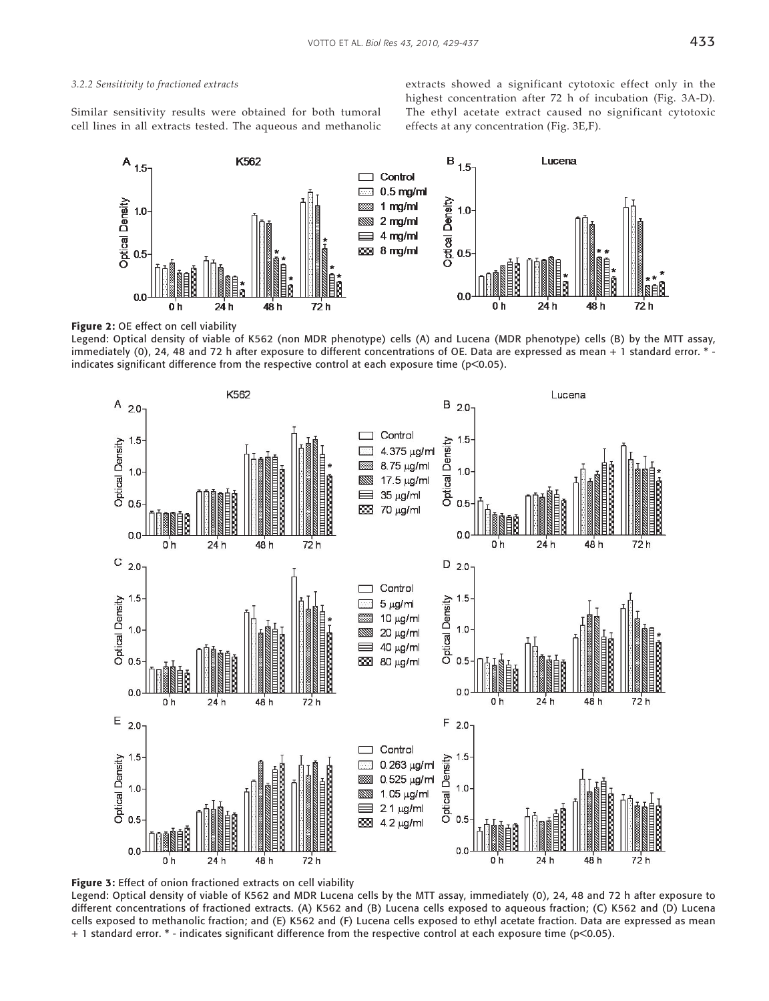## *3.2.2 Sensitivity to fractioned extracts*

Similar sensitivity results were obtained for both tumoral cell lines in all extracts tested. The aqueous and methanolic extracts showed a significant cytotoxic effect only in the highest concentration after 72 h of incubation (Fig. 3A-D). The ethyl acetate extract caused no significant cytotoxic effects at any concentration (Fig. 3E,F).



**Figure 2:** OE effect on cell viability

Legend: Optical density of viable of K562 (non MDR phenotype) cells (A) and Lucena (MDR phenotype) cells (B) by the MTT assay, immediately (0), 24, 48 and 72 h after exposure to different concentrations of OE. Data are expressed as mean + 1 standard error. \* indicates significant difference from the respective control at each exposure time (p<0.05).





Legend: Optical density of viable of K562 and MDR Lucena cells by the MTT assay, immediately (0), 24, 48 and 72 h after exposure to different concentrations of fractioned extracts. (A) K562 and (B) Lucena cells exposed to aqueous fraction; (C) K562 and (D) Lucena cells exposed to methanolic fraction; and (E) K562 and (F) Lucena cells exposed to ethyl acetate fraction. Data are expressed as mean + 1 standard error. \* - indicates significant difference from the respective control at each exposure time (p<0.05).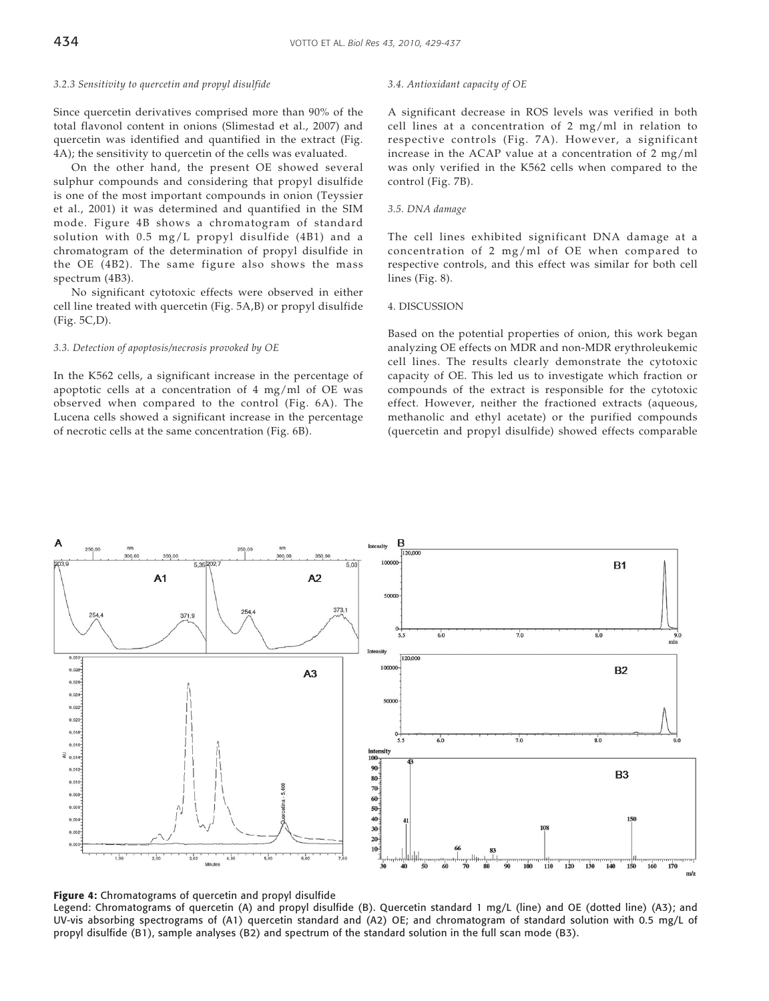### *3.2.3 Sensitivity to quercetin and propyl disulfide*

Since quercetin derivatives comprised more than 90% of the total flavonol content in onions (Slimestad et al., 2007) and quercetin was identified and quantified in the extract (Fig. 4A); the sensitivity to quercetin of the cells was evaluated.

On the other hand, the present OE showed several sulphur compounds and considering that propyl disulfide is one of the most important compounds in onion (Teyssier et al., 2001) it was determined and quantified in the SIM mode. Figure 4B shows a chromatogram of standard solution with 0.5 mg/L propyl disulfide (4B1) and a chromatogram of the determination of propyl disulfide in the OE (4B2). The same figure also shows the mass spectrum (4B3).

No significant cytotoxic effects were observed in either cell line treated with quercetin (Fig. 5A,B) or propyl disulfide (Fig. 5C,D).

## *3.3. Detection of apoptosis/necrosis provoked by OE*

In the K562 cells, a significant increase in the percentage of apoptotic cells at a concentration of 4 mg/ml of OE was observed when compared to the control (Fig. 6A). The Lucena cells showed a significant increase in the percentage of necrotic cells at the same concentration (Fig. 6B).

#### *3.4. Antioxidant capacity of OE*

A significant decrease in ROS levels was verified in both cell lines at a concentration of 2 mg/ml in relation to respective controls (Fig. 7A). However, a significant increase in the ACAP value at a concentration of 2 mg/ml was only verified in the K562 cells when compared to the control (Fig. 7B).

#### *3.5. DNA damage*

The cell lines exhibited significant DNA damage at a concentration of 2 mg/ml of OE when compared to respective controls, and this effect was similar for both cell lines (Fig. 8).

#### 4. DISCUSSION

Based on the potential properties of onion, this work began analyzing OE effects on MDR and non-MDR erythroleukemic cell lines. The results clearly demonstrate the cytotoxic capacity of OE. This led us to investigate which fraction or compounds of the extract is responsible for the cytotoxic effect. However, neither the fractioned extracts (aqueous, methanolic and ethyl acetate) or the purified compounds (quercetin and propyl disulfide) showed effects comparable





Legend: Chromatograms of quercetin (A) and propyl disulfide (B). Quercetin standard 1 mg/L (line) and OE (dotted line) (A3); and UV-vis absorbing spectrograms of (A1) quercetin standard and (A2) OE; and chromatogram of standard solution with 0.5 mg/L of propyl disulfide (B1), sample analyses (B2) and spectrum of the standard solution in the full scan mode (B3).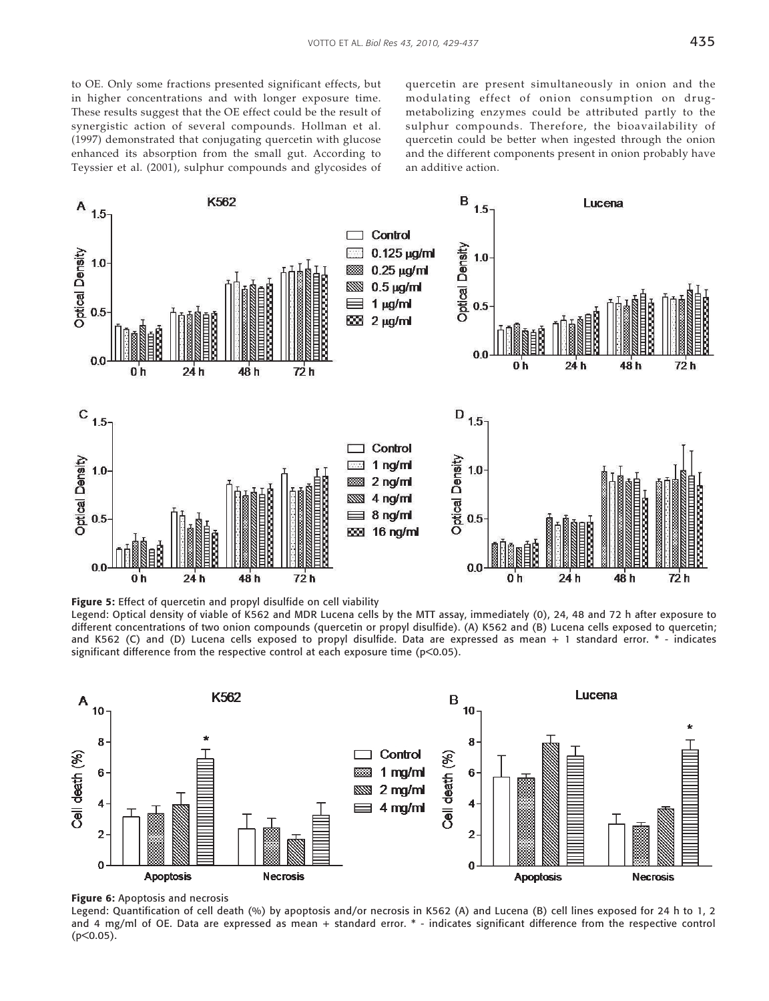to OE. Only some fractions presented significant effects, but in higher concentrations and with longer exposure time. These results suggest that the OE effect could be the result of synergistic action of several compounds. Hollman et al. (1997) demonstrated that conjugating quercetin with glucose enhanced its absorption from the small gut. According to Teyssier et al. (2001), sulphur compounds and glycosides of quercetin are present simultaneously in onion and the modulating effect of onion consumption on drugmetabolizing enzymes could be attributed partly to the sulphur compounds. Therefore, the bioavailability of quercetin could be better when ingested through the onion and the different components present in onion probably have an additive action.



**Figure 5:** Effect of quercetin and propyl disulfide on cell viability

Legend: Optical density of viable of K562 and MDR Lucena cells by the MTT assay, immediately (0), 24, 48 and 72 h after exposure to different concentrations of two onion compounds (quercetin or propyl disulfide). (A) K562 and (B) Lucena cells exposed to quercetin; and K562 (C) and (D) Lucena cells exposed to propyl disulfide. Data are expressed as mean + 1 standard error. \* - indicates significant difference from the respective control at each exposure time (p<0.05).



**Figure 6:** Apoptosis and necrosis

Legend: Quantification of cell death (%) by apoptosis and/or necrosis in K562 (A) and Lucena (B) cell lines exposed for 24 h to 1, 2 and 4 mg/ml of OE. Data are expressed as mean + standard error. \* - indicates significant difference from the respective control (p<0.05).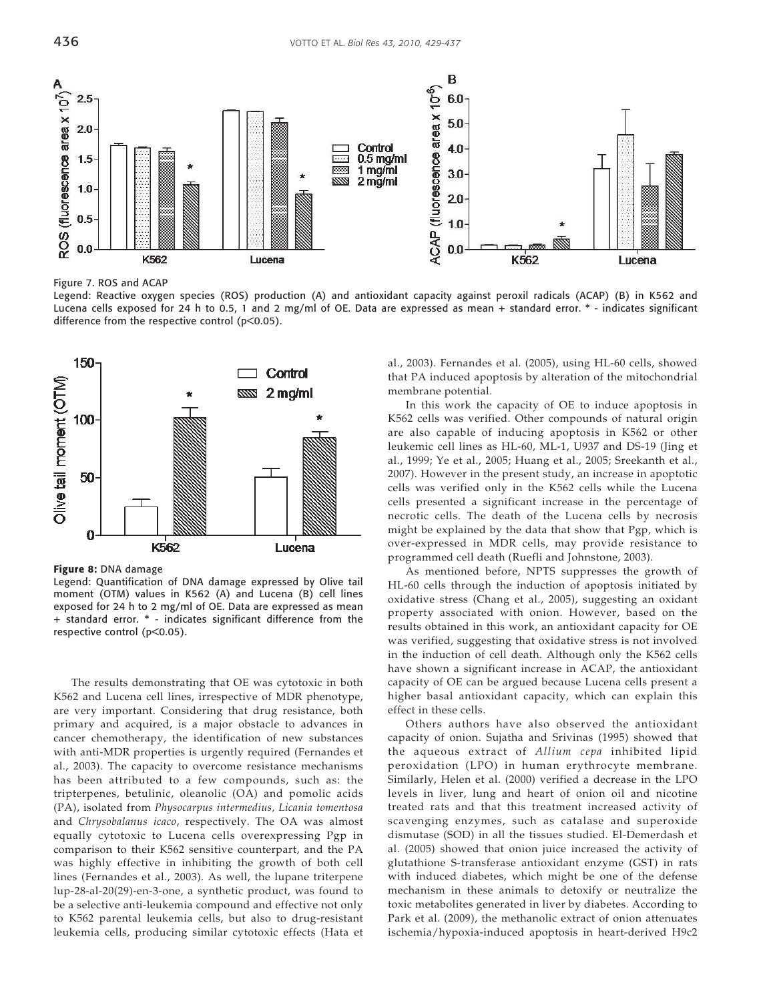

Figure 7. ROS and ACAP

Legend: Reactive oxygen species (ROS) production (A) and antioxidant capacity against peroxil radicals (ACAP) (B) in K562 and Lucena cells exposed for 24 h to 0.5, 1 and 2 mg/ml of OE. Data are expressed as mean + standard error. \* - indicates significant difference from the respective control (p<0.05).



**Figure 8:** DNA damage

Legend: Quantification of DNA damage expressed by Olive tail moment (OTM) values in K562 (A) and Lucena (B) cell lines exposed for 24 h to 2 mg/ml of OE. Data are expressed as mean + standard error. \* - indicates significant difference from the respective control (p<0.05).

The results demonstrating that OE was cytotoxic in both K562 and Lucena cell lines, irrespective of MDR phenotype, are very important. Considering that drug resistance, both primary and acquired, is a major obstacle to advances in cancer chemotherapy, the identification of new substances with anti-MDR properties is urgently required (Fernandes et al., 2003). The capacity to overcome resistance mechanisms has been attributed to a few compounds, such as: the tripterpenes, betulinic, oleanolic (OA) and pomolic acids (PA), isolated from *Physocarpus intermedius, Licania tomentosa* and *Chrysobalanus icaco*, respectively. The OA was almost equally cytotoxic to Lucena cells overexpressing Pgp in comparison to their K562 sensitive counterpart, and the PA was highly effective in inhibiting the growth of both cell lines (Fernandes et al., 2003). As well, the lupane triterpene lup-28-al-20(29)-en-3-one, a synthetic product, was found to be a selective anti-leukemia compound and effective not only to K562 parental leukemia cells, but also to drug-resistant leukemia cells, producing similar cytotoxic effects (Hata et

al., 2003). Fernandes et al. (2005), using HL-60 cells, showed that PA induced apoptosis by alteration of the mitochondrial membrane potential.

In this work the capacity of OE to induce apoptosis in K562 cells was verified. Other compounds of natural origin are also capable of inducing apoptosis in K562 or other leukemic cell lines as HL-60, ML-1, U937 and DS-19 (Jing et al., 1999; Ye et al., 2005; Huang et al., 2005; Sreekanth et al., 2007). However in the present study, an increase in apoptotic cells was verified only in the K562 cells while the Lucena cells presented a significant increase in the percentage of necrotic cells. The death of the Lucena cells by necrosis might be explained by the data that show that Pgp, which is over-expressed in MDR cells, may provide resistance to programmed cell death (Ruefli and Johnstone, 2003).

As mentioned before, NPTS suppresses the growth of HL-60 cells through the induction of apoptosis initiated by oxidative stress (Chang et al., 2005), suggesting an oxidant property associated with onion. However, based on the results obtained in this work, an antioxidant capacity for OE was verified, suggesting that oxidative stress is not involved in the induction of cell death. Although only the K562 cells have shown a significant increase in ACAP, the antioxidant capacity of OE can be argued because Lucena cells present a higher basal antioxidant capacity, which can explain this effect in these cells.

Others authors have also observed the antioxidant capacity of onion. Sujatha and Srivinas (1995) showed that the aqueous extract of *Allium cepa* inhibited lipid peroxidation (LPO) in human erythrocyte membrane. Similarly, Helen et al. (2000) verified a decrease in the LPO levels in liver, lung and heart of onion oil and nicotine treated rats and that this treatment increased activity of scavenging enzymes, such as catalase and superoxide dismutase (SOD) in all the tissues studied. El-Demerdash et al. (2005) showed that onion juice increased the activity of glutathione S-transferase antioxidant enzyme (GST) in rats with induced diabetes, which might be one of the defense mechanism in these animals to detoxify or neutralize the toxic metabolites generated in liver by diabetes. According to Park et al. (2009), the methanolic extract of onion attenuates ischemia/hypoxia-induced apoptosis in heart-derived H9c2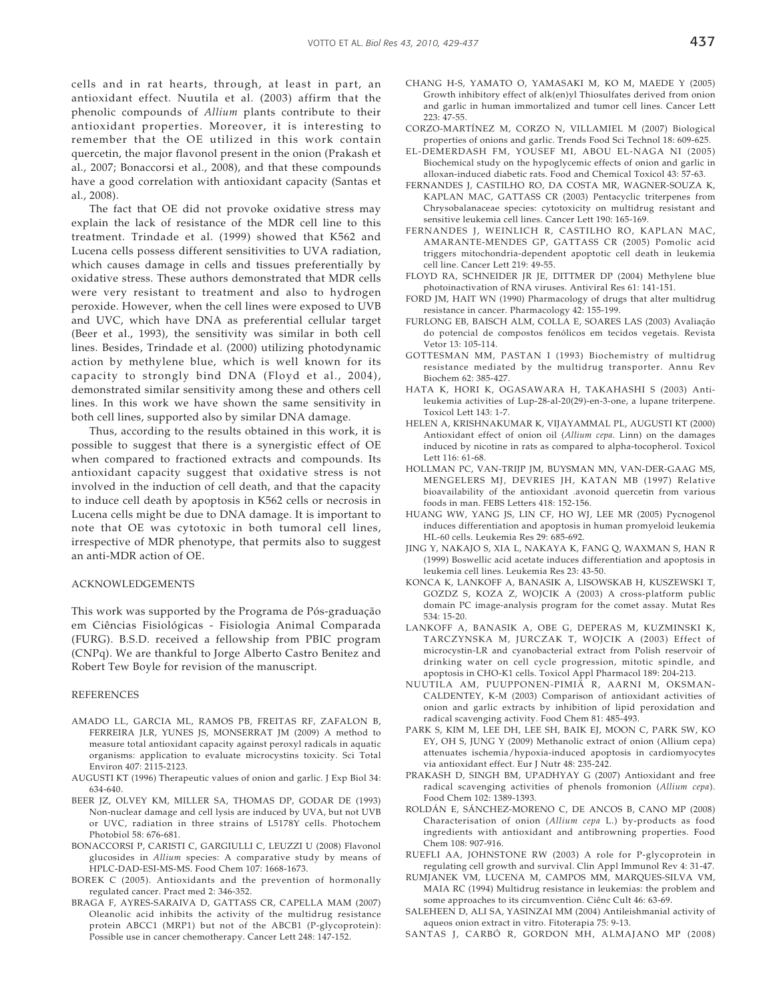cells and in rat hearts, through, at least in part, an antioxidant effect. Nuutila et al. (2003) affirm that the phenolic compounds of *Allium* plants contribute to their antioxidant properties. Moreover, it is interesting to remember that the OE utilized in this work contain quercetin, the major flavonol present in the onion (Prakash et al., 2007; Bonaccorsi et al., 2008), and that these compounds have a good correlation with antioxidant capacity (Santas et al., 2008).

The fact that OE did not provoke oxidative stress may explain the lack of resistance of the MDR cell line to this treatment. Trindade et al. (1999) showed that K562 and Lucena cells possess different sensitivities to UVA radiation, which causes damage in cells and tissues preferentially by oxidative stress. These authors demonstrated that MDR cells were very resistant to treatment and also to hydrogen peroxide. However, when the cell lines were exposed to UVB and UVC, which have DNA as preferential cellular target (Beer et al., 1993), the sensitivity was similar in both cell lines. Besides, Trindade et al. (2000) utilizing photodynamic action by methylene blue, which is well known for its capacity to strongly bind DNA (Floyd et al., 2004), demonstrated similar sensitivity among these and others cell lines. In this work we have shown the same sensitivity in both cell lines, supported also by similar DNA damage.

Thus, according to the results obtained in this work, it is possible to suggest that there is a synergistic effect of OE when compared to fractioned extracts and compounds. Its antioxidant capacity suggest that oxidative stress is not involved in the induction of cell death, and that the capacity to induce cell death by apoptosis in K562 cells or necrosis in Lucena cells might be due to DNA damage. It is important to note that OE was cytotoxic in both tumoral cell lines, irrespective of MDR phenotype, that permits also to suggest an anti-MDR action of OE.

#### ACKNOWLEDGEMENTS

This work was supported by the Programa de Pós-graduação em Ciências Fisiológicas - Fisiologia Animal Comparada (FURG). B.S.D. received a fellowship from PBIC program (CNPq). We are thankful to Jorge Alberto Castro Benitez and Robert Tew Boyle for revision of the manuscript.

#### **REFERENCES**

- AMADO LL, GARCIA ML, RAMOS PB, FREITAS RF, ZAFALON B, FERREIRA JLR, YUNES JS, MONSERRAT JM (2009) A method to measure total antioxidant capacity against peroxyl radicals in aquatic organisms: application to evaluate microcystins toxicity. Sci Total Environ 407: 2115-2123.
- AUGUSTI KT (1996) Therapeutic values of onion and garlic. J Exp Biol 34: 634-640.
- BEER JZ, OLVEY KM, MILLER SA, THOMAS DP, GODAR DE (1993) Non-nuclear damage and cell lysis are induced by UVA, but not UVB or UVC, radiation in three strains of L5178Y cells. Photochem Photobiol 58: 676-681.
- BONACCORSI P, CARISTI C, GARGIULLI C, LEUZZI U (2008) Flavonol glucosides in *Allium* species: A comparative study by means of HPLC-DAD-ESI-MS-MS. Food Chem 107: 1668-1673.
- BOREK C (2005). Antioxidants and the prevention of hormonally regulated cancer. Pract med 2: 346-352.
- BRAGA F, AYRES-SARAIVA D, GATTASS CR, CAPELLA MAM (2007) Oleanolic acid inhibits the activity of the multidrug resistance protein ABCC1 (MRP1) but not of the ABCB1 (P-glycoprotein): Possible use in cancer chemotherapy. Cancer Lett 248: 147-152.
- CHANG H-S, YAMATO O, YAMASAKI M, KO M, MAEDE Y (2005) Growth inhibitory effect of alk(en)yl Thiosulfates derived from onion and garlic in human immortalized and tumor cell lines. Cancer Lett 223: 47-55.
- CORZO-MARTÍNEZ M, CORZO N, VILLAMIEL M (2007) Biological properties of onions and garlic. Trends Food Sci Technol 18: 609-625.
- EL-DEMERDASH FM, YOUSEF MI, ABOU EL-NAGA NI (2005) Biochemical study on the hypoglycemic effects of onion and garlic in alloxan-induced diabetic rats. Food and Chemical Toxicol 43: 57-63.
- FERNANDES J, CASTILHO RO, DA COSTA MR, WAGNER-SOUZA K, KAPLAN MAC, GATTASS CR (2003) Pentacyclic triterpenes from Chrysobalanaceae species: cytotoxicity on multidrug resistant and sensitive leukemia cell lines. Cancer Lett 190: 165-169.
- FERNANDES J, WEINLICH R, CASTILHO RO, KAPLAN MAC, AMARANTE-MENDES GP, GATTASS CR (2005) Pomolic acid triggers mitochondria-dependent apoptotic cell death in leukemia cell line. Cancer Lett 219: 49-55.
- FLOYD RA, SCHNEIDER JR JE, DITTMER DP (2004) Methylene blue photoinactivation of RNA viruses. Antiviral Res 61: 141-151.
- FORD JM, HAIT WN (1990) Pharmacology of drugs that alter multidrug resistance in cancer. Pharmacology 42: 155-199.
- FURLONG EB, BAISCH ALM, COLLA E, SOARES LAS (2003) Avaliação do potencial de compostos fenólicos em tecidos vegetais. Revista Vetor 13: 105-114.
- GOTTESMAN MM, PASTAN I (1993) Biochemistry of multidrug resistance mediated by the multidrug transporter. Annu Rev Biochem 62: 385-427.
- HATA K, HORI K, OGASAWARA H, TAKAHASHI S (2003) Antileukemia activities of Lup-28-al-20(29)-en-3-one, a lupane triterpene. Toxicol Lett 143: 1-7.
- HELEN A, KRISHNAKUMAR K, VIJAYAMMAL PL, AUGUSTI KT (2000) Antioxidant effect of onion oil (*Allium cepa*. Linn) on the damages induced by nicotine in rats as compared to alpha-tocopherol. Toxicol Lett 116: 61-68.
- HOLLMAN PC, VAN-TRIJP JM, BUYSMAN MN, VAN-DER-GAAG MS, MENGELERS MJ, DEVRIES JH, KATAN MB (1997) Relative bioavailability of the antioxidant .avonoid quercetin from various foods in man. FEBS Letters 418: 152-156.
- HUANG WW, YANG JS, LIN CF, HO WJ, LEE MR (2005) Pycnogenol induces differentiation and apoptosis in human promyeloid leukemia HL-60 cells. Leukemia Res 29: 685-692.
- JING Y, NAKAJO S, XIA L, NAKAYA K, FANG Q, WAXMAN S, HAN R (1999) Boswellic acid acetate induces differentiation and apoptosis in leukemia cell lines. Leukemia Res 23: 43-50.
- KONCA K, LANKOFF A, BANASIK A, LISOWSKAB H, KUSZEWSKI T, GOZDZ S, KOZA Z, WOJCIK A (2003) A cross-platform public domain PC image-analysis program for the comet assay. Mutat Res 534: 15-20.
- LANKOFF A, BANASIK A, OBE G, DEPERAS M, KUZMINSKI K, TARCZYNSKA M, JURCZAK T, WOJCIK A (2003) Effect of microcystin-LR and cyanobacterial extract from Polish reservoir of drinking water on cell cycle progression, mitotic spindle, and apoptosis in CHO-K1 cells. Toxicol Appl Pharmacol 189: 204-213.
- NUUTILA AM, PUUPPONEN-PIMIÄ R, AARNI M, OKSMAN-CALDENTEY, K-M (2003) Comparison of antioxidant activities of onion and garlic extracts by inhibition of lipid peroxidation and radical scavenging activity. Food Chem 81: 485-493.
- PARK S, KIM M, LEE DH, LEE SH, BAIK EJ, MOON C, PARK SW, KO EY, OH S, JUNG Y (2009) Methanolic extract of onion (Allium cepa) attenuates ischemia/hypoxia-induced apoptosis in cardiomyocytes via antioxidant effect. Eur J Nutr 48: 235-242.
- PRAKASH D, SINGH BM, UPADHYAY G (2007) Antioxidant and free radical scavenging activities of phenols fromonion (*Allium cepa*). Food Chem 102: 1389-1393.
- ROLDÁN E, SÁNCHEZ-MORENO C, DE ANCOS B, CANO MP (2008) Characterisation of onion (*Allium cepa* L.) by-products as food ingredients with antioxidant and antibrowning properties. Food Chem 108: 907-916.
- RUEFLI AA, JOHNSTONE RW (2003) A role for P-glycoprotein in regulating cell growth and survival. Clin Appl Immunol Rev 4: 31-47.
- RUMJANEK VM, LUCENA M, CAMPOS MM, MARQUES-SILVA VM, MAIA RC (1994) Multidrug resistance in leukemias: the problem and some approaches to its circumvention. Ciênc Cult 46: 63-69.
- SALEHEEN D, ALI SA, YASINZAI MM (2004) Antileishmanial activity of aqueos onion extract in vitro. Fitoterapia 75: 9-13.
- SANTAS J, CARBÓ R, GORDON MH, ALMAJANO MP (2008)